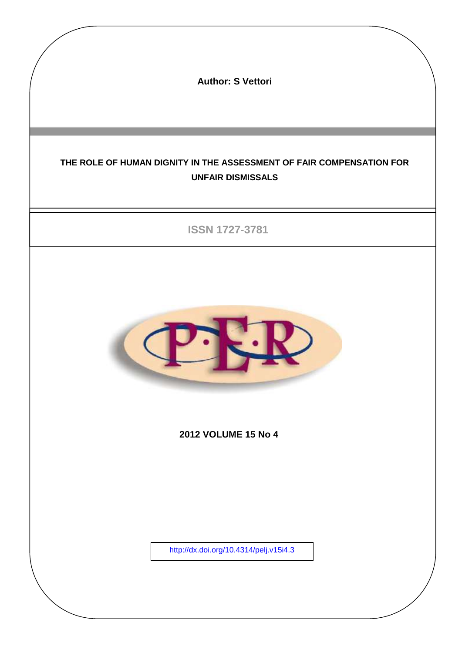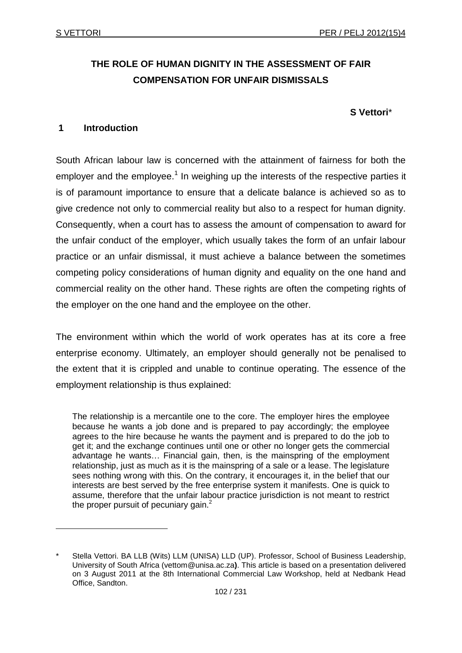# **THE ROLE OF HUMAN DIGNITY IN THE ASSESSMENT OF FAIR COMPENSATION FOR UNFAIR DISMISSALS**

## **S Vettori**\*

#### **1 Introduction**

1

South African labour law is concerned with the attainment of fairness for both the employer and the employee.<sup>1</sup> In weighing up the interests of the respective parties it is of paramount importance to ensure that a delicate balance is achieved so as to give credence not only to commercial reality but also to a respect for human dignity. Consequently, when a court has to assess the amount of compensation to award for the unfair conduct of the employer, which usually takes the form of an unfair labour practice or an unfair dismissal, it must achieve a balance between the sometimes competing policy considerations of human dignity and equality on the one hand and commercial reality on the other hand. These rights are often the competing rights of the employer on the one hand and the employee on the other.

The environment within which the world of work operates has at its core a free enterprise economy. Ultimately, an employer should generally not be penalised to the extent that it is crippled and unable to continue operating. The essence of the employment relationship is thus explained:

The relationship is a mercantile one to the core. The employer hires the employee because he wants a job done and is prepared to pay accordingly; the employee agrees to the hire because he wants the payment and is prepared to do the job to get it; and the exchange continues until one or other no longer gets the commercial advantage he wants… Financial gain, then, is the mainspring of the employment relationship, just as much as it is the mainspring of a sale or a lease. The legislature sees nothing wrong with this. On the contrary, it encourages it, in the belief that our interests are best served by the free enterprise system it manifests. One is quick to assume, therefore that the unfair labour practice jurisdiction is not meant to restrict the proper pursuit of pecuniary gain. $<sup>2</sup>$ </sup>

Stella Vettori. BA LLB (Wits) LLM (UNISA) LLD (UP). Professor, School of Business Leadership, University of South Africa [\(vettom@unisa.ac.za](mailto:vettom@unisa.ac.za)**)**. This article is based on a presentation delivered on 3 August 2011 at the 8th International Commercial Law Workshop, held at Nedbank Head Office, Sandton.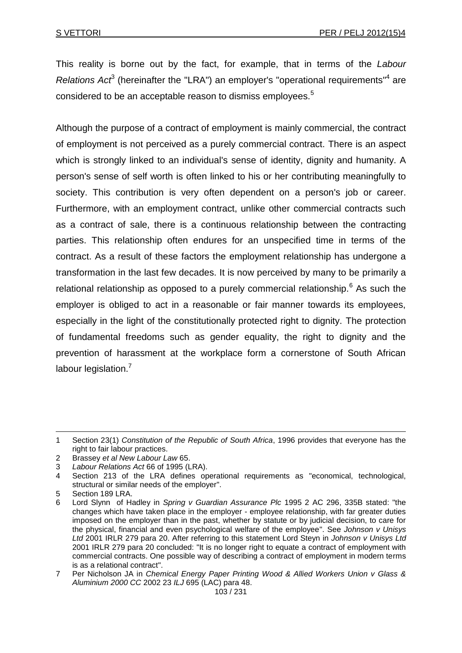This reality is borne out by the fact, for example, that in terms of the *Labour*  Relations Act<sup>3</sup> (hereinafter the "LRA") an employer's "operational requirements"<sup>4</sup> are considered to be an acceptable reason to dismiss employees.<sup>5</sup>

Although the purpose of a contract of employment is mainly commercial, the contract of employment is not perceived as a purely commercial contract. There is an aspect which is strongly linked to an individual's sense of identity, dignity and humanity. A person's sense of self worth is often linked to his or her contributing meaningfully to society. This contribution is very often dependent on a person's job or career. Furthermore, with an employment contract, unlike other commercial contracts such as a contract of sale, there is a continuous relationship between the contracting parties. This relationship often endures for an unspecified time in terms of the contract. As a result of these factors the employment relationship has undergone a transformation in the last few decades. It is now perceived by many to be primarily a relational relationship as opposed to a purely commercial relationship.<sup>6</sup> As such the employer is obliged to act in a reasonable or fair manner towards its employees, especially in the light of the constitutionally protected right to dignity. The protection of fundamental freedoms such as gender equality, the right to dignity and the prevention of harassment at the workplace form a cornerstone of South African labour legislation.<sup>7</sup>

-

<sup>1</sup> Section 23(1) *Constitution of the Republic of South Africa*, 1996 provides that everyone has the right to fair labour practices.

<sup>2</sup> Brassey *et al New Labour Law* 65.

<sup>3</sup> *Labour Relations Act* 66 of 1995 (LRA).

<sup>4</sup> Section 213 of the LRA defines operational requirements as "economical, technological, structural or similar needs of the employer".

<sup>5</sup> Section 189 LRA.

<sup>6</sup> Lord Slynn of Hadley in *Spring v Guardian Assurance Plc* 1995 2 AC 296, 335B stated: "the changes which have taken place in the employer - employee relationship, with far greater duties imposed on the employer than in the past, whether by statute or by judicial decision, to care for the physical, financial and even psychological welfare of the employee". See *Johnson v Unisys Ltd* 2001 IRLR 279 para 20. After referring to this statement Lord Steyn in *Johnson v Unisys Ltd* 2001 IRLR 279 para 20 concluded: "It is no longer right to equate a contract of employment with commercial contracts. One possible way of describing a contract of employment in modern terms is as a relational contract".

<sup>7</sup> Per Nicholson JA in *Chemical Energy Paper Printing Wood & Allied Workers Union v Glass & Aluminium 2000 CC* 2002 23 *ILJ* 695 (LAC) para 48.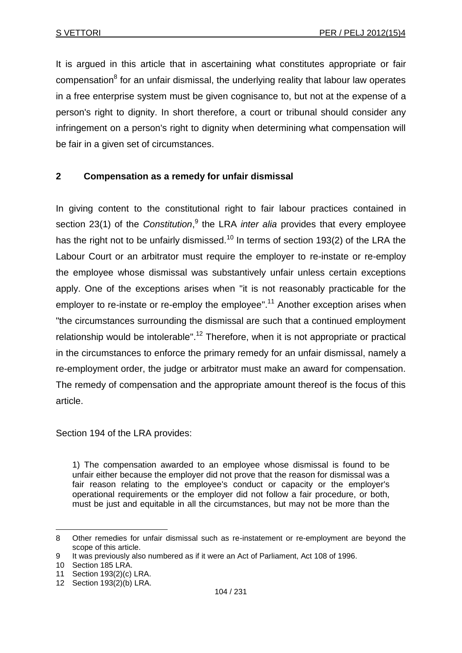It is argued in this article that in ascertaining what constitutes appropriate or fair compensation<sup>8</sup> for an unfair dismissal, the underlying reality that labour law operates in a free enterprise system must be given cognisance to, but not at the expense of a person's right to dignity. In short therefore, a court or tribunal should consider any infringement on a person's right to dignity when determining what compensation will be fair in a given set of circumstances.

# **2 Compensation as a remedy for unfair dismissal**

In giving content to the constitutional right to fair labour practices contained in section 23(1) of the *Constitution*,<sup>9</sup> the LRA *inter alia* provides that every employee has the right not to be unfairly dismissed.<sup>10</sup> In terms of section 193(2) of the LRA the Labour Court or an arbitrator must require the employer to re-instate or re-employ the employee whose dismissal was substantively unfair unless certain exceptions apply. One of the exceptions arises when "it is not reasonably practicable for the employer to re-instate or re-employ the employee".<sup>11</sup> Another exception arises when "the circumstances surrounding the dismissal are such that a continued employment relationship would be intolerable".<sup>12</sup> Therefore, when it is not appropriate or practical in the circumstances to enforce the primary remedy for an unfair dismissal, namely a re-employment order, the judge or arbitrator must make an award for compensation. The remedy of compensation and the appropriate amount thereof is the focus of this article.

Section 194 of the LRA provides:

1) The compensation awarded to an employee whose dismissal is found to be unfair either because the employer did not prove that the reason for dismissal was a fair reason relating to the employee's conduct or capacity or the employer's operational requirements or the employer did not follow a fair procedure, or both, must be just and equitable in all the circumstances, but may not be more than the

**<sup>.</sup>** 8 Other remedies for unfair dismissal such as re-instatement or re-employment are beyond the scope of this article.

<sup>9</sup> It was previously also numbered as if it were an Act of Parliament, Act 108 of 1996.

<sup>10</sup> Section 185 LRA.

<sup>11</sup> Section 193(2)(c) LRA.

<sup>12</sup> Section 193(2)(b) LRA.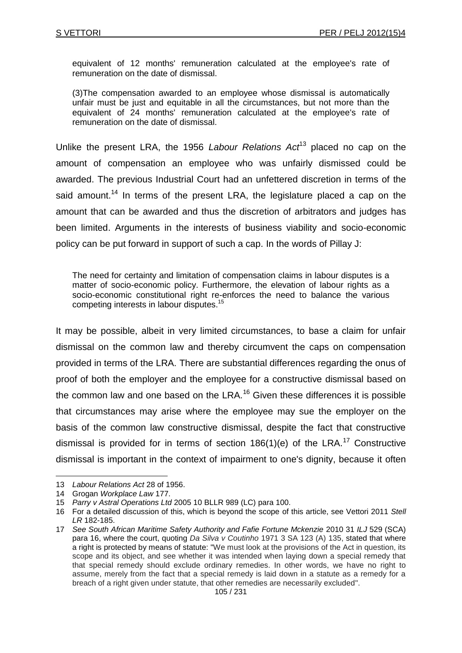equivalent of 12 months' remuneration calculated at the employee's rate of remuneration on the date of dismissal.

(3)The compensation awarded to an employee whose dismissal is automatically unfair must be just and equitable in all the circumstances, but not more than the equivalent of 24 months' remuneration calculated at the employee's rate of remuneration on the date of dismissal.

Unlike the present LRA, the 1956 *Labour Relations Act*<sup>13</sup> placed no cap on the amount of compensation an employee who was unfairly dismissed could be awarded. The previous Industrial Court had an unfettered discretion in terms of the said amount.<sup>14</sup> In terms of the present LRA, the legislature placed a cap on the amount that can be awarded and thus the discretion of arbitrators and judges has been limited. Arguments in the interests of business viability and socio-economic policy can be put forward in support of such a cap. In the words of Pillay J:

The need for certainty and limitation of compensation claims in labour disputes is a matter of socio-economic policy. Furthermore, the elevation of labour rights as a socio-economic constitutional right re-enforces the need to balance the various competing interests in labour disputes.<sup>15</sup>

It may be possible, albeit in very limited circumstances, to base a claim for unfair dismissal on the common law and thereby circumvent the caps on compensation provided in terms of the LRA. There are substantial differences regarding the onus of proof of both the employer and the employee for a constructive dismissal based on the common law and one based on the LRA.<sup>16</sup> Given these differences it is possible that circumstances may arise where the employee may sue the employer on the basis of the common law constructive dismissal, despite the fact that constructive dismissal is provided for in terms of section  $186(1)(e)$  of the LRA.<sup>17</sup> Constructive dismissal is important in the context of impairment to one's dignity, because it often

<sup>-</sup>13 *Labour Relations Act* 28 of 1956.

<sup>14</sup> Grogan *Workplace Law* 177.

<sup>15</sup> *Parry v Astral Operations Ltd* 2005 10 BLLR 989 (LC) para 100.

<sup>16</sup> For a detailed discussion of this, which is beyond the scope of this article, see Vettori 2011 *Stell LR* 182-185.

<sup>17</sup> *See South African Maritime Safety Authority and Fafie Fortune Mckenzie* 2010 31 *ILJ* 529 (SCA) para 16, where the court, quoting *Da Silva v Coutinho* 1971 3 SA 123 (A) 135, stated that where a right is protected by means of statute: "We must look at the provisions of the Act in question, its scope and its object, and see whether it was intended when laying down a special remedy that that special remedy should exclude ordinary remedies. In other words, we have no right to assume, merely from the fact that a special remedy is laid down in a statute as a remedy for a breach of a right given under statute, that other remedies are necessarily excluded".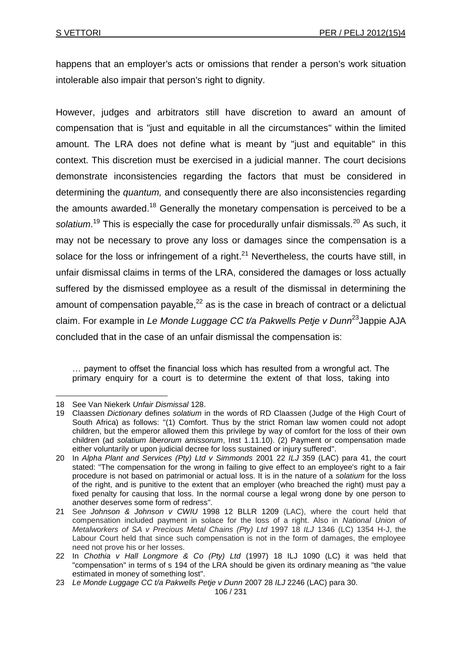happens that an employer's acts or omissions that render a person's work situation intolerable also impair that person's right to dignity.

However, judges and arbitrators still have discretion to award an amount of compensation that is "just and equitable in all the circumstances" within the limited amount. The LRA does not define what is meant by "just and equitable" in this context. This discretion must be exercised in a judicial manner. The court decisions demonstrate inconsistencies regarding the factors that must be considered in determining the *quantum,* and consequently there are also inconsistencies regarding the amounts awarded.<sup>18</sup> Generally the monetary compensation is perceived to be a solatium.<sup>19</sup> This is especially the case for procedurally unfair dismissals.<sup>20</sup> As such, it may not be necessary to prove any loss or damages since the compensation is a solace for the loss or infringement of a right.<sup>21</sup> Nevertheless, the courts have still, in unfair dismissal claims in terms of the LRA, considered the damages or loss actually suffered by the dismissed employee as a result of the dismissal in determining the amount of compensation payable, $^{22}$  as is the case in breach of contract or a delictual claim. For example in *Le Monde Luggage CC t/a Pakwells Petje v Dunn*<sup>23</sup>Jappie AJA concluded that in the case of an unfair dismissal the compensation is:

… payment to offset the financial loss which has resulted from a wrongful act. The primary enquiry for a court is to determine the extent of that loss, taking into

<sup>-</sup>18 See Van Niekerk *Unfair Dismissal* 128.

<sup>19</sup> Claassen *Dictionary* defines *solatium* in the words of RD Claassen (Judge of the High Court of South Africa) as follows: "(1) Comfort. Thus by the strict Roman law women could not adopt children, but the emperor allowed them this privilege by way of comfort for the loss of their own children (ad *solatium liberorum amissorum*, Inst 1.11.10). (2) Payment or compensation made either voluntarily or upon judicial decree for loss sustained or injury suffered".

<sup>20</sup> In *Alpha Plant and Services (Pty) Ltd v Simmonds* 2001 22 *ILJ* 359 (LAC) para 41, the court stated: "The compensation for the wrong in failing to give effect to an employee's right to a fair procedure is not based on patrimonial or actual loss. It is in the nature of a *solatium* for the loss of the right, and is punitive to the extent that an employer (who breached the right) must pay a fixed penalty for causing that loss. In the normal course a legal wrong done by one person to another deserves some form of redress".

<sup>21</sup> See *Johnson & Johnson v CWIU* 1998 [12 BLLR 1209](http://www.saflii.org.za/cgi-bin/LawCite?cit=%281998%29%2012%20BLLR%201209) (LAC), where the court held that compensation included payment in solace for the loss of a right. Also in *National Union of Metalworkers of SA v Precious Metal Chains (Pty) Ltd* 1997 18 *ILJ* 1346 (LC) 1354 H-J, the Labour Court held that since such compensation is not in the form of damages, the employee need not prove his or her losses.

<sup>22</sup> In *Chothia v Hall Longmore & Co (Pty) Ltd* (1997) 18 ILJ 1090 (LC) it was held that "compensation" in terms of s 194 of the LRA should be given its ordinary meaning as "the value estimated in money of something lost".

<sup>23</sup> *Le Monde Luggage CC t/a Pakwells Petje v Dunn* 2007 28 *ILJ* 2246 (LAC) para 30.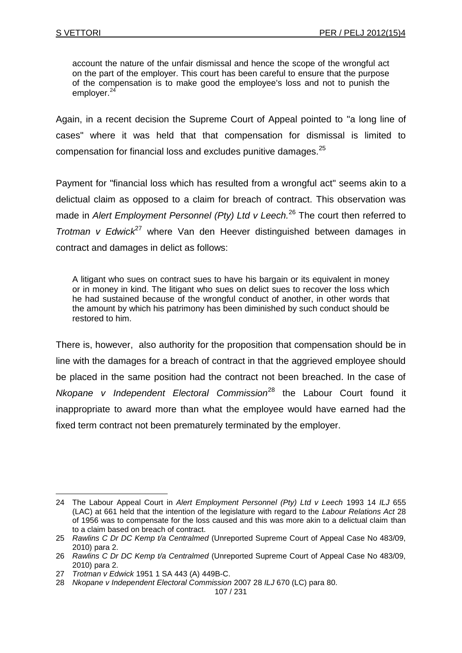account the nature of the unfair dismissal and hence the scope of the wrongful act on the part of the employer. This court has been careful to ensure that the purpose of the compensation is to make good the employee's loss and not to punish the employer.<sup>24</sup>

Again, in a recent decision the Supreme Court of Appeal pointed to "a long line of cases" where it was held that that compensation for dismissal is limited to compensation for financial loss and excludes punitive damages.<sup>25</sup>

Payment for "financial loss which has resulted from a wrongful act" seems akin to a delictual claim as opposed to a claim for breach of contract. This observation was made in *Alert Employment Personnel (Pty) Ltd v Leech.*<sup>26</sup> The court then referred to *Trotman v Edwick* <sup>27</sup> where Van den Heever distinguished between damages in contract and damages in delict as follows:

A litigant who sues on contract sues to have his bargain or its equivalent in money or in money in kind. The litigant who sues on delict sues to recover the loss which he had sustained because of the wrongful conduct of another, in other words that the amount by which his patrimony has been diminished by such conduct should be restored to him.

There is, however, also authority for the proposition that compensation should be in line with the damages for a breach of contract in that the aggrieved employee should be placed in the same position had the contract not been breached. In the case of *Nkopane v Independent Electoral Commission*<sup>28</sup> the Labour Court found it inappropriate to award more than what the employee would have earned had the fixed term contract not been prematurely terminated by the employer.

<sup>1</sup> 24 The Labour Appeal Court in *Alert Employment Personnel (Pty) Ltd v Leech* 1993 14 *ILJ* 655 (LAC) at 661 held that the intention of the legislature with regard to the *Labour Relations Act* 28 of 1956 was to compensate for the loss caused and this was more akin to a delictual claim than to a claim based on breach of contract.

<sup>25</sup> *Rawlins C Dr DC Kemp t/a Centralmed* (Unreported Supreme Court of Appeal Case No 483/09, 2010) para 2.

<sup>26</sup> *Rawlins C Dr DC Kemp t/a Centralmed* (Unreported Supreme Court of Appeal Case No 483/09, 2010) para 2.

<sup>27</sup> *Trotman v Edwick* 1951 1 SA 443 (A) 449B-C.

<sup>28</sup> *Nkopane v Independent Electoral Commission* 2007 28 *ILJ* 670 (LC) para 80.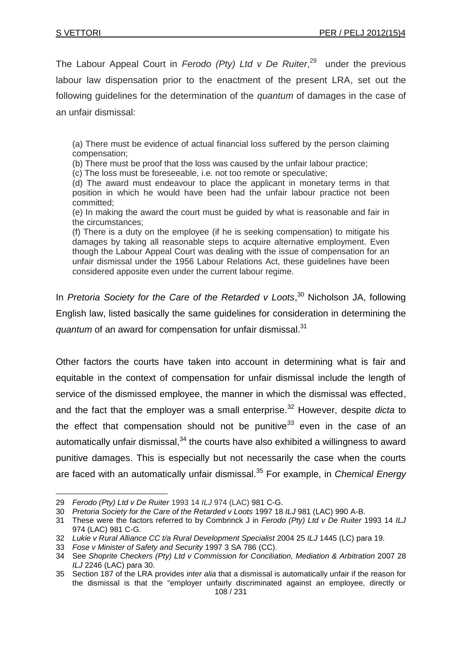The Labour Appeal Court in *Ferodo (Pty) Ltd v De Ruiter*, <sup>29</sup> under the previous labour law dispensation prior to the enactment of the present LRA, set out the following guidelines for the determination of the *quantum* of damages in the case of an unfair dismissal:

(a) There must be evidence of actual financial loss suffered by the person claiming compensation;

(b) There must be proof that the loss was caused by the unfair labour practice;

(c) The loss must be foreseeable, i.e. not too remote or speculative;

(d) The award must endeavour to place the applicant in monetary terms in that position in which he would have been had the unfair labour practice not been committed;

(e) In making the award the court must be guided by what is reasonable and fair in the circumstances;

(f) There is a duty on the employee (if he is seeking compensation) to mitigate his damages by taking all reasonable steps to acquire alternative employment. Even though the Labour Appeal Court was dealing with the issue of compensation for an unfair dismissal under the 1956 Labour Relations Act, these guidelines have been considered apposite even under the current labour regime.

In *Pretoria Society for the Care of the Retarded v Loots*, <sup>30</sup> Nicholson JA, following English law, listed basically the same guidelines for consideration in determining the quantum of an award for compensation for unfair dismissal.<sup>31</sup>

Other factors the courts have taken into account in determining what is fair and equitable in the context of compensation for unfair dismissal include the length of service of the dismissed employee, the manner in which the dismissal was effected, and the fact that the employer was a small enterprise.<sup>32</sup> However, despite *dicta* to the effect that compensation should not be punitive<sup>33</sup> even in the case of an automatically unfair dismissal, $34$  the courts have also exhibited a willingness to award punitive damages. This is especially but not necessarily the case when the courts are faced with an automatically unfair dismissal.<sup>35</sup> For example, in *Chemical Energy* 

<sup>1</sup> 29 *Ferodo (Pty) Ltd v De Ruiter* 1993 14 *ILJ* 974 (LAC) 981 C-G.

<sup>30</sup> *Pretoria Society for the Care of the Retarded v Loots* 1997 18 *ILJ* 981 (LAC) 990 A-B.

<sup>31</sup> These were the factors referred to by Combrinck J in *Ferodo (Pty) Ltd v De Ruiter* 1993 14 *ILJ* 974 (LAC) 981 C-G.

<sup>32</sup> *Lukie v Rural Alliance CC t/a Rural Development Specialist* 2004 25 *ILJ* 1445 (LC) para 19.

<sup>33</sup> *Fose v Minister of Safety and Security* 1997 3 [SA 786](http://www.saflii.org.za/cgi-bin/LawCite?cit=1997%20%283%29%20SA%20786) (CC).

<sup>34</sup> See *Shoprite Checkers (Pty) Ltd v Commission for Conciliation, Mediation & Arbitration* 2007 28 *ILJ* 2246 (LAC) para 30.

<sup>35</sup> Section 187 of the LRA provides *inter alia* that a dismissal is automatically unfair if the reason for the dismissal is that the "employer unfairly discriminated against an employee, directly or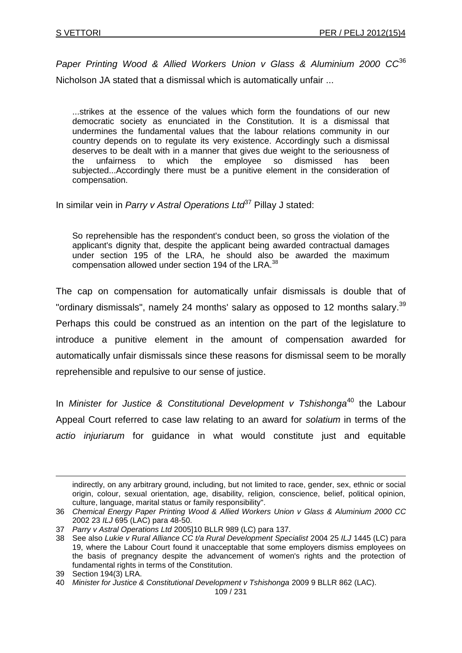*Paper Printing Wood & Allied Workers Union v Glass & Aluminium 2000 CC*<sup>36</sup> Nicholson JA stated that a dismissal which is automatically unfair ...

...strikes at the essence of the values which form the foundations of our new democratic society as enunciated in the Constitution. It is a dismissal that undermines the fundamental values that the labour relations community in our country depends on to regulate its very existence. Accordingly such a dismissal deserves to be dealt with in a manner that gives due weight to the seriousness of the unfairness to which the employee so dismissed has been subjected...Accordingly there must be a punitive element in the consideration of compensation.

In similar vein in *Parry v Astral Operations Ltd*<sup>37</sup> Pillay J stated:

So reprehensible has the respondent's conduct been, so gross the violation of the applicant's dignity that, despite the applicant being awarded contractual damages under section 195 of the LRA, he should also be awarded the maximum compensation allowed under section 194 of the LRA.<sup>38</sup>

The cap on compensation for automatically unfair dismissals is double that of "ordinary dismissals", namely 24 months' salary as opposed to 12 months salary.<sup>39</sup> Perhaps this could be construed as an intention on the part of the legislature to introduce a punitive element in the amount of compensation awarded for automatically unfair dismissals since these reasons for dismissal seem to be morally reprehensible and repulsive to our sense of justice.

In *Minister* for Justice & Constitutional Development v Tshishonga<sup>40</sup> the Labour Appeal Court referred to case law relating to an award for *solatium* in terms of the *actio injuriarum* for guidance in what would constitute just and equitable

-

indirectly, on any arbitrary ground, including, but not limited to race, gender, sex, ethnic or social origin, colour, sexual orientation, age, disability, religion, conscience, belief, political opinion, culture, language, marital status or family responsibility".

<sup>36</sup> *Chemical Energy Paper Printing Wood & Allied Workers Union v Glass & Aluminium 2000 CC* 2002 23 *ILJ* 695 (LAC) para 48-50.

<sup>37</sup> *Parry v Astral Operations Ltd* 2005]10 BLLR 989 (LC) para 137.

<sup>38</sup> See also *Lukie v Rural Alliance CC t/a Rural Development Specialist* 2004 25 *ILJ* 1445 (LC) para 19, where the Labour Court found it unacceptable that some employers dismiss employees on the basis of pregnancy despite the advancement of women's rights and the protection of fundamental rights in terms of the Constitution.

<sup>39</sup> Section 194(3) LRA.

<sup>40</sup> *Minister for Justice & Constitutional Development v Tshishonga* 2009 9 BLLR 862 (LAC).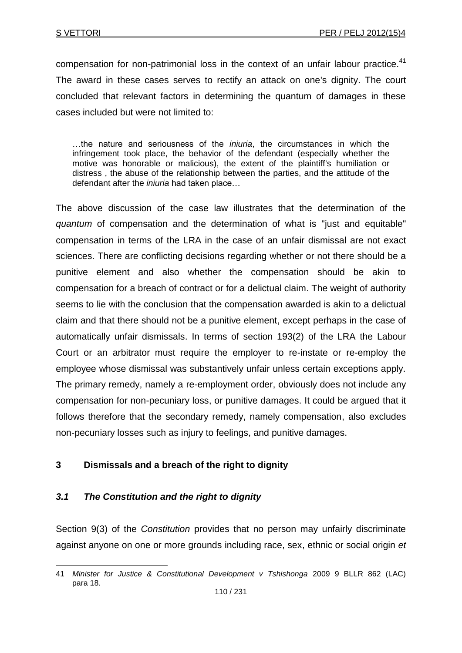compensation for non-patrimonial loss in the context of an unfair labour practice.<sup>41</sup> The award in these cases serves to rectify an attack on one's dignity. The court concluded that relevant factors in determining the quantum of damages in these cases included but were not limited to:

…the nature and seriousness of the *iniuria*, the circumstances in which the infringement took place, the behavior of the defendant (especially whether the motive was honorable or malicious), the extent of the plaintiff's humiliation or distress , the abuse of the relationship between the parties, and the attitude of the defendant after the *iniuria* had taken place…

The above discussion of the case law illustrates that the determination of the *quantum* of compensation and the determination of what is "just and equitable" compensation in terms of the LRA in the case of an unfair dismissal are not exact sciences. There are conflicting decisions regarding whether or not there should be a punitive element and also whether the compensation should be akin to compensation for a breach of contract or for a delictual claim. The weight of authority seems to lie with the conclusion that the compensation awarded is akin to a delictual claim and that there should not be a punitive element, except perhaps in the case of automatically unfair dismissals. In terms of section 193(2) of the LRA the Labour Court or an arbitrator must require the employer to re-instate or re-employ the employee whose dismissal was substantively unfair unless certain exceptions apply. The primary remedy, namely a re-employment order, obviously does not include any compensation for non-pecuniary loss, or punitive damages. It could be argued that it follows therefore that the secondary remedy, namely compensation, also excludes non-pecuniary losses such as injury to feelings, and punitive damages.

# **3 Dismissals and a breach of the right to dignity**

# *3.1 The Constitution and the right to dignity*

-

Section 9(3) of the *Constitution* provides that no person may unfairly discriminate against anyone on one or more grounds including race, sex, ethnic or social origin *et* 

<sup>41</sup> *Minister for Justice & Constitutional Development v Tshishonga* 2009 9 BLLR 862 (LAC) para 18.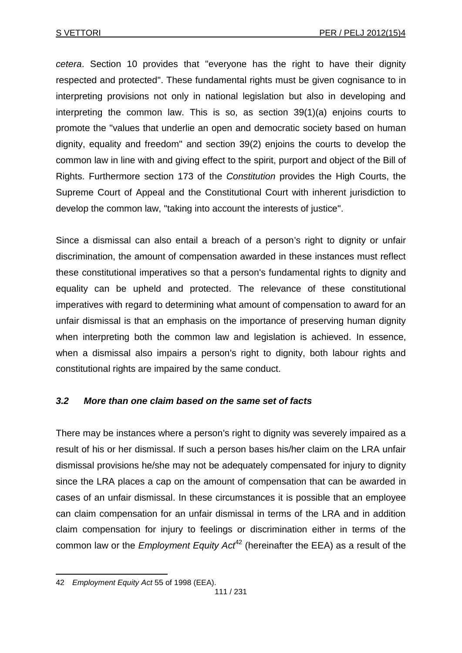*cetera*. Section 10 provides that "everyone has the right to have their dignity respected and protected". These fundamental rights must be given cognisance to in interpreting provisions not only in national legislation but also in developing and interpreting the common law. This is so, as section 39(1)(a) enjoins courts to promote the "values that underlie an open and democratic society based on human dignity, equality and freedom" and section 39(2) enjoins the courts to develop the common law in line with and giving effect to the spirit, purport and object of the Bill of Rights. Furthermore section 173 of the *Constitution* provides the High Courts, the Supreme Court of Appeal and the Constitutional Court with inherent jurisdiction to develop the common law, "taking into account the interests of justice".

Since a dismissal can also entail a breach of a person's right to dignity or unfair discrimination, the amount of compensation awarded in these instances must reflect these constitutional imperatives so that a person's fundamental rights to dignity and equality can be upheld and protected. The relevance of these constitutional imperatives with regard to determining what amount of compensation to award for an unfair dismissal is that an emphasis on the importance of preserving human dignity when interpreting both the common law and legislation is achieved. In essence, when a dismissal also impairs a person's right to dignity, both labour rights and constitutional rights are impaired by the same conduct.

#### *3.2 More than one claim based on the same set of facts*

There may be instances where a person's right to dignity was severely impaired as a result of his or her dismissal. If such a person bases his/her claim on the LRA unfair dismissal provisions he/she may not be adequately compensated for injury to dignity since the LRA places a cap on the amount of compensation that can be awarded in cases of an unfair dismissal. In these circumstances it is possible that an employee can claim compensation for an unfair dismissal in terms of the LRA and in addition claim compensation for injury to feelings or discrimination either in terms of the common law or the *Employment Equity Act*<sup>42</sup> (hereinafter the EEA) as a result of the

**.** 

<sup>42</sup> *Employment Equity Act* 55 of 1998 (EEA).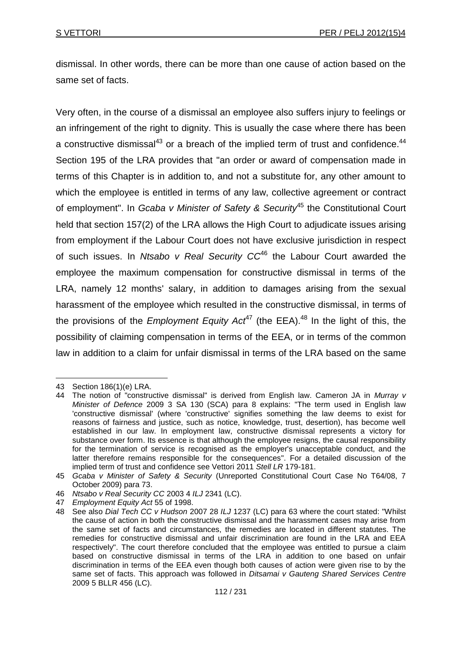dismissal. In other words, there can be more than one cause of action based on the same set of facts.

Very often, in the course of a dismissal an employee also suffers injury to feelings or an infringement of the right to dignity. This is usually the case where there has been a constructive dismissal $43$  or a breach of the implied term of trust and confidence. $44$ Section 195 of the LRA provides that "an order or award of compensation made in terms of this Chapter is in addition to, and not a substitute for, any other amount to which the employee is entitled in terms of any law, collective agreement or contract of employment". In *Gcaba v Minister of Safety & Security*<sup>45</sup> the Constitutional Court held that section 157(2) of the LRA allows the High Court to adjudicate issues arising from employment if the Labour Court does not have exclusive jurisdiction in respect of such issues. In *Ntsabo v Real Security CC*<sup>46</sup> the Labour Court awarded the employee the maximum compensation for constructive dismissal in terms of the LRA, namely 12 months' salary, in addition to damages arising from the sexual harassment of the employee which resulted in the constructive dismissal, in terms of the provisions of the *Employment Equity Act<sup>47</sup>* (the EEA).<sup>48</sup> In the light of this, the possibility of claiming compensation in terms of the EEA, or in terms of the common law in addition to a claim for unfair dismissal in terms of the LRA based on the same

<sup>-</sup>43 Section 186(1)(e) LRA.

<sup>44</sup> The notion of "constructive dismissal" is derived from English law. Cameron JA in *Murray v Minister of Defence* 2009 3 SA 130 (SCA) para 8 explains: "The term used in English law 'constructive dismissal' (where 'constructive' signifies something the law deems to exist for reasons of fairness and justice, such as notice, knowledge, trust, desertion), has become well established in our law. In employment law, constructive dismissal represents a victory for substance over form. Its essence is that although the employee resigns, the causal responsibility for the termination of service is recognised as the employer's unacceptable conduct, and the latter therefore remains responsible for the consequences". For a detailed discussion of the implied term of trust and confidence see Vettori 2011 *Stell LR* 179-181.

<sup>45</sup> *Gcaba v Minister of Safety & Security* (Unreported Constitutional Court Case No T64/08, 7 October 2009) para 73.

<sup>46</sup> *Ntsabo v Real Security CC* 2003 4 *ILJ* 2341 (LC).

<sup>47</sup> *Employment Equity Act* 55 of 1998.

<sup>48</sup> See also *Dial Tech CC v Hudson* 2007 28 *ILJ* 1237 (LC) para 63 where the court stated: "Whilst the cause of action in both the constructive dismissal and the harassment cases may arise from the same set of facts and circumstances, the remedies are located in different statutes. The remedies for constructive dismissal and unfair discrimination are found in the LRA and EEA respectively". The court therefore concluded that the employee was entitled to pursue a claim based on constructive dismissal in terms of the LRA in addition to one based on unfair discrimination in terms of the EEA even though both causes of action were given rise to by the same set of facts. This approach was followed in *Ditsamai v Gauteng Shared Services Centre*  2009 5 BLLR 456 (LC).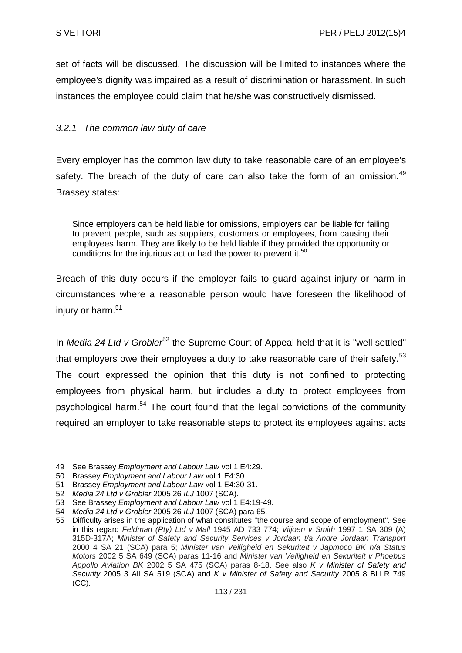set of facts will be discussed. The discussion will be limited to instances where the employee's dignity was impaired as a result of discrimination or harassment. In such instances the employee could claim that he/she was constructively dismissed.

## *3.2.1 The common law duty of care*

Every employer has the common law duty to take reasonable care of an employee's safety. The breach of the duty of care can also take the form of an omission.<sup>49</sup> Brassey states:

Since employers can be held liable for omissions, employers can be liable for failing to prevent people, such as suppliers, customers or employees, from causing their employees harm. They are likely to be held liable if they provided the opportunity or conditions for the injurious act or had the power to prevent it. $50$ 

Breach of this duty occurs if the employer fails to guard against injury or harm in circumstances where a reasonable person would have foreseen the likelihood of injury or harm.<sup>51</sup>

In *Media 24 Ltd v Grobler*<sup>52</sup> the Supreme Court of Appeal held that it is "well settled" that employers owe their employees a duty to take reasonable care of their safety.<sup>53</sup> The court expressed the opinion that this duty is not confined to protecting employees from physical harm, but includes a duty to protect employees from psychological harm.<sup>54</sup> The court found that the legal convictions of the community required an employer to take reasonable steps to protect its employees against acts

-

<sup>49</sup> See Brassey *Employment and Labour Law* vol 1 E4:29.

<sup>50</sup> Brassey *Employment and Labour Law* vol 1 E4:30.

<sup>51</sup> Brassey *Employment and Labour Law* vol 1 E4:30-31.

<sup>52</sup> *Media 24 Ltd v Grobler* 2005 26 *ILJ* 1007 (SCA).

<sup>53</sup> See Brassey *Employment and Labour Law* vol 1 E4:19-49.

<sup>54</sup> *Media 24 Ltd v Grobler* 2005 26 *ILJ* 1007 (SCA) para 65.

<sup>55</sup> Difficulty arises in the application of what constitutes "the course and scope of employment". See in this regard *Feldman (Pty) Ltd v Mall* 1945 AD 733 774; *Viljoen v Smith* 1997 1 SA 309 (A) 315D-317A; *Minister of Safety and Security Services v Jordaan t/a Andre Jordaan Transport*  2000 4 SA 21 (SCA) para 5; *Minister van Veiligheid en Sekuriteit v Japmoco BK h/a Status Motors* 2002 5 SA 649 (SCA) paras 11-16 and *Minister van Veiligheid en Sekuriteit v Phoebus Appollo Aviation BK* 2002 5 SA 475 (SCA) paras 8-18. See also *K v Minister of Safety and Security* 2005 3 All SA 519 (SCA) and *K v Minister of Safety and Security* 2005 8 BLLR 749 (CC).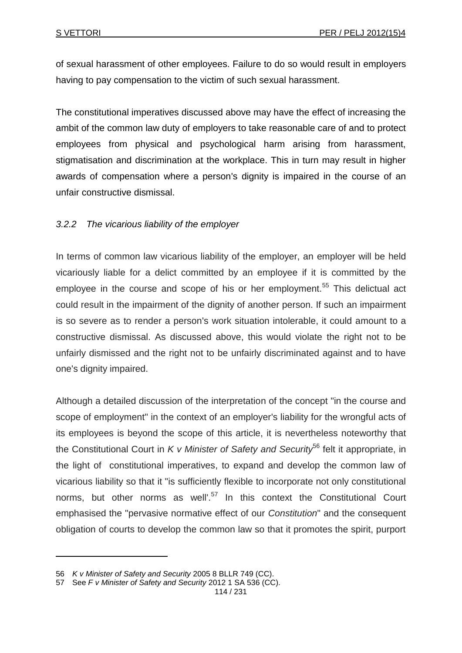of sexual harassment of other employees. Failure to do so would result in employers having to pay compensation to the victim of such sexual harassment.

The constitutional imperatives discussed above may have the effect of increasing the ambit of the common law duty of employers to take reasonable care of and to protect employees from physical and psychological harm arising from harassment, stigmatisation and discrimination at the workplace. This in turn may result in higher awards of compensation where a person's dignity is impaired in the course of an unfair constructive dismissal.

#### *3.2.2 The vicarious liability of the employer*

In terms of common law vicarious liability of the employer, an employer will be held vicariously liable for a delict committed by an employee if it is committed by the employee in the course and scope of his or her employment.<sup>55</sup> This delictual act could result in the impairment of the dignity of another person. If such an impairment is so severe as to render a person's work situation intolerable, it could amount to a constructive dismissal. As discussed above, this would violate the right not to be unfairly dismissed and the right not to be unfairly discriminated against and to have one's dignity impaired.

Although a detailed discussion of the interpretation of the concept "in the course and scope of employment" in the context of an employer's liability for the wrongful acts of its employees is beyond the scope of this article, it is nevertheless noteworthy that the Constitutional Court in *K v Minister of Safety and Security*<sup>56</sup> felt it appropriate, in the light of constitutional imperatives, to expand and develop the common law of vicarious liability so that it "is sufficiently flexible to incorporate not only constitutional norms, but other norms as well'.<sup>57</sup> In this context the Constitutional Court emphasised the "pervasive normative effect of our *Constitution*" and the consequent obligation of courts to develop the common law so that it promotes the spirit, purport

**.** 

<sup>56</sup> *K v Minister of Safety and Security* 2005 8 BLLR 749 (CC).

<sup>57</sup> See *F v Minister of Safety and Security* 2012 1 SA 536 (CC).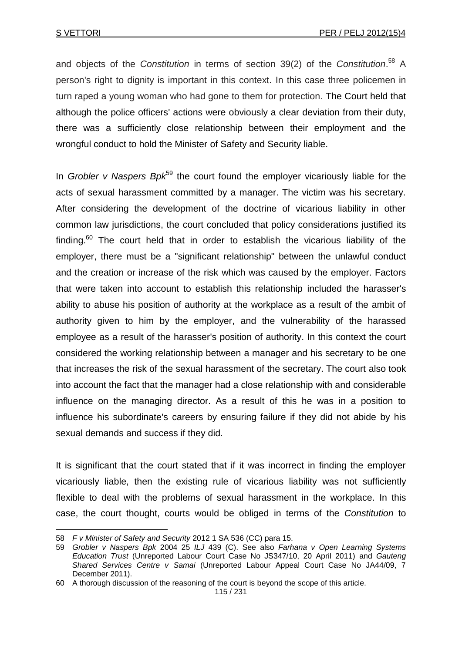and objects of the *Constitution* in terms of section 39(2) of the *Constitution*. <sup>58</sup> A person's right to dignity is important in this context. In this case three policemen in turn raped a young woman who had gone to them for protection. The Court held that although the police officers' actions were obviously a clear deviation from their duty, there was a sufficiently close relationship between their employment and the wrongful conduct to hold the Minister of Safety and Security liable.

In *Grobler v Naspers Bpk*<sup>59</sup> the court found the employer vicariously liable for the acts of sexual harassment committed by a manager. The victim was his secretary. After considering the development of the doctrine of vicarious liability in other common law jurisdictions, the court concluded that policy considerations justified its finding.<sup>60</sup> The court held that in order to establish the vicarious liability of the employer, there must be a "significant relationship" between the unlawful conduct and the creation or increase of the risk which was caused by the employer. Factors that were taken into account to establish this relationship included the harasser's ability to abuse his position of authority at the workplace as a result of the ambit of authority given to him by the employer, and the vulnerability of the harassed employee as a result of the harasser's position of authority. In this context the court considered the working relationship between a manager and his secretary to be one that increases the risk of the sexual harassment of the secretary. The court also took into account the fact that the manager had a close relationship with and considerable influence on the managing director. As a result of this he was in a position to influence his subordinate's careers by ensuring failure if they did not abide by his sexual demands and success if they did.

It is significant that the court stated that if it was incorrect in finding the employer vicariously liable, then the existing rule of vicarious liability was not sufficiently flexible to deal with the problems of sexual harassment in the workplace. In this case, the court thought, courts would be obliged in terms of the *Constitution* to

**.** 

<sup>58</sup> *F v Minister of Safety and Security* 2012 1 SA 536 (CC) para 15.

<sup>59</sup> *Grobler v Naspers Bpk* 2004 25 *ILJ* 439 (C). See also *Farhana v Open Learning Systems Education Trust* (Unreported Labour Court Case No JS347/10, 20 April 2011) and *Gauteng Shared Services Centre v Samai* (Unreported Labour Appeal Court Case No JA44/09, 7 December 2011).

<sup>60</sup> A thorough discussion of the reasoning of the court is beyond the scope of this article.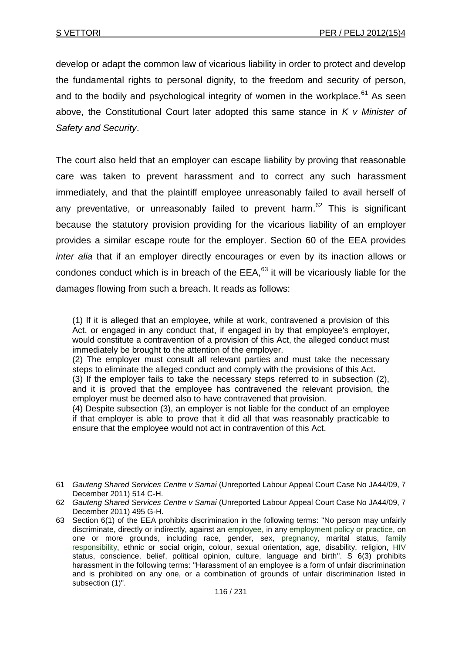develop or adapt the common law of vicarious liability in order to protect and develop the fundamental rights to personal dignity, to the freedom and security of person, and to the bodily and psychological integrity of women in the workplace.<sup>61</sup> As seen above, the Constitutional Court later adopted this same stance in *K v Minister of Safety and Security*.

The court also held that an employer can escape liability by proving that reasonable care was taken to prevent harassment and to correct any such harassment immediately, and that the plaintiff employee unreasonably failed to avail herself of any preventative, or unreasonably failed to prevent harm.<sup>62</sup> This is significant because the statutory provision providing for the vicarious liability of an employer provides a similar escape route for the employer. Section 60 of the EEA provides *inter alia* that if an employer directly encourages or even by its inaction allows or condones conduct which is in breach of the  $EEA$ ,  $63$  it will be vicariously liable for the damages flowing from such a breach. It reads as follows:

(1) If it is alleged that an employee, while at work, contravened a provision of this Act, or engaged in any conduct that, if engaged in by that employee's employer, would constitute a contravention of a provision of this Act, the alleged conduct must immediately be brought to the attention of the employer.

(2) The employer must consult all relevant parties and must take the necessary steps to eliminate the alleged conduct and comply with the provisions of this Act.

(3) If the employer fails to take the necessary steps referred to in subsection (2), and it is proved that the employee has contravened the relevant provision, the employer must be deemed also to have contravened that provision.

(4) Despite subsection (3), an employer is not liable for the conduct of an employee if that employer is able to prove that it did all that was reasonably practicable to ensure that the employee would not act in contravention of this Act.

<sup>-</sup>61 *Gauteng Shared Services Centre v Samai* (Unreported Labour Appeal Court Case No JA44/09, 7 December 2011) 514 C-H.

<sup>62</sup> *Gauteng Shared Services Centre v Samai* (Unreported Labour Appeal Court Case No JA44/09, 7 December 2011) 495 G-H.

<sup>63</sup> Section 6(1) of the EEA prohibits discrimination in the following terms: "No person may unfairly discriminate, directly or indirectly, against an [employee,](javascript:void(0);) in any [employment policy or practice,](javascript:void(0);) on one or more grounds, including race, gender, sex, [pregnancy,](javascript:void(0);) marital status, [family](javascript:void(0);)  [responsibility,](javascript:void(0);) ethnic or social origin, colour, sexual orientation, age, disability, religion, [HIV](javascript:void(0);) status, conscience, belief, political opinion, culture, language and birth". S 6(3) prohibits harassment in the following terms: "Harassment of an employee is a form of unfair discrimination and is prohibited on any one, or a combination of grounds of unfair discrimination listed in subsection (1)".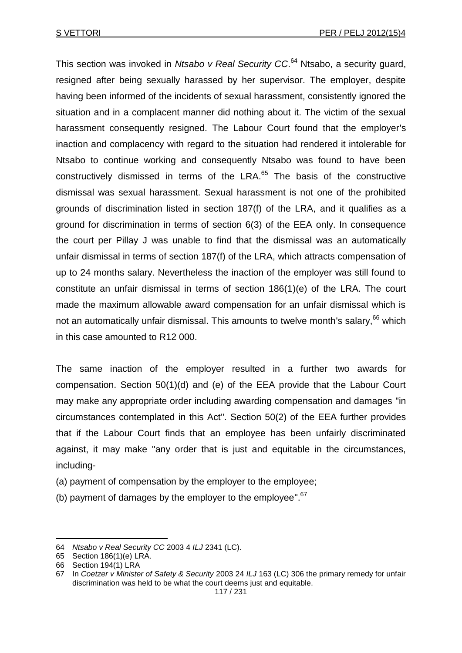This section was invoked in *Ntsabo v Real Security CC*. <sup>64</sup> Ntsabo, a security guard, resigned after being sexually harassed by her supervisor. The employer, despite having been informed of the incidents of sexual harassment, consistently ignored the situation and in a complacent manner did nothing about it. The victim of the sexual harassment consequently resigned. The Labour Court found that the employer's inaction and complacency with regard to the situation had rendered it intolerable for Ntsabo to continue working and consequently Ntsabo was found to have been constructively dismissed in terms of the LRA. $^{65}$  The basis of the constructive dismissal was sexual harassment. Sexual harassment is not one of the prohibited grounds of discrimination listed in section 187(f) of the LRA, and it qualifies as a ground for discrimination in terms of section 6(3) of the EEA only. In consequence the court per Pillay J was unable to find that the dismissal was an automatically unfair dismissal in terms of section 187(f) of the LRA, which attracts compensation of up to 24 months salary. Nevertheless the inaction of the employer was still found to constitute an unfair dismissal in terms of section 186(1)(e) of the LRA. The court made the maximum allowable award compensation for an unfair dismissal which is not an automatically unfair dismissal. This amounts to twelve month's salary,<sup>66</sup> which in this case amounted to R12 000.

The same inaction of the employer resulted in a further two awards for compensation. Section 50(1)(d) and (e) of the EEA provide that the Labour Court may make any appropriate order including awarding compensation and damages "in circumstances contemplated in this Act". Section 50(2) of the EEA further provides that if the Labour Court finds that an employee has been unfairly discriminated against, it may make "any order that is just and equitable in the circumstances, including-

- (a) payment of compensation by the employer to the employee;
- (b) payment of damages by the employer to the employee". $67$

-

<sup>64</sup> *Ntsabo v Real Security CC* 2003 4 *ILJ* 2341 (LC).

<sup>65</sup> Section 186(1)(e) LRA.

<sup>66</sup> Section 194(1) LRA

<sup>67</sup> In *Coetzer v Minister of Safety & Security* 2003 24 *ILJ* 163 (LC) 306 the primary remedy for unfair discrimination was held to be what the court deems just and equitable.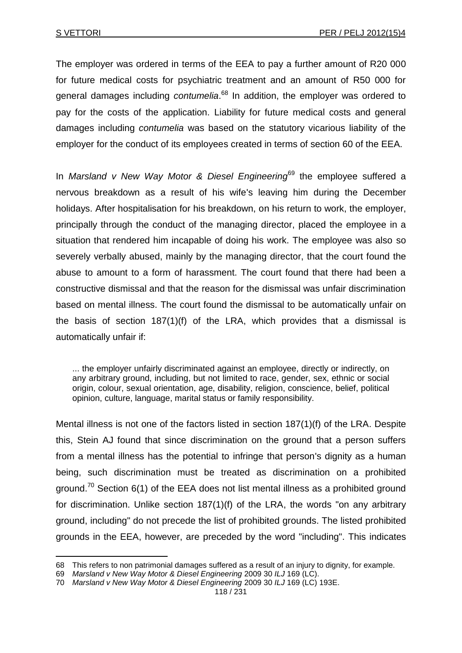**.** 

The employer was ordered in terms of the EEA to pay a further amount of R20 000 for future medical costs for psychiatric treatment and an amount of R50 000 for general damages including *contumelia*. <sup>68</sup> In addition, the employer was ordered to pay for the costs of the application. Liability for future medical costs and general damages including *contumelia* was based on the statutory vicarious liability of the employer for the conduct of its employees created in terms of section 60 of the EEA.

In *Marsland v New Way Motor & Diesel Engineering*<sup>69</sup> the employee suffered a nervous breakdown as a result of his wife's leaving him during the December holidays. After hospitalisation for his breakdown, on his return to work, the employer, principally through the conduct of the managing director, placed the employee in a situation that rendered him incapable of doing his work. The employee was also so severely verbally abused, mainly by the managing director, that the court found the abuse to amount to a form of harassment. The court found that there had been a constructive dismissal and that the reason for the dismissal was unfair discrimination based on mental illness. The court found the dismissal to be automatically unfair on the basis of section 187(1)(f) of the LRA, which provides that a dismissal is automatically unfair if:

... the employer unfairly discriminated against an employee, directly or indirectly, on any arbitrary ground, including, but not limited to race, gender, sex, ethnic or social origin, colour, sexual orientation, age, disability, religion, conscience, belief, political opinion, culture, language, marital status or family responsibility.

Mental illness is not one of the factors listed in section 187(1)(f) of the LRA. Despite this, Stein AJ found that since discrimination on the ground that a person suffers from a mental illness has the potential to infringe that person's dignity as a human being, such discrimination must be treated as discrimination on a prohibited ground.<sup>70</sup> Section  $6(1)$  of the EEA does not list mental illness as a prohibited ground for discrimination. Unlike section 187(1)(f) of the LRA, the words "on any arbitrary ground, including" do not precede the list of prohibited grounds. The listed prohibited grounds in the EEA, however, are preceded by the word "including". This indicates

<sup>68</sup> This refers to non patrimonial damages suffered as a result of an injury to dignity, for example.

<sup>69</sup> *Marsland v New Way Motor & Diesel Engineering* 2009 30 *ILJ* 169 (LC).

<sup>70</sup> *Marsland v New Way Motor & Diesel Engineering* 2009 30 *ILJ* 169 (LC) 193E.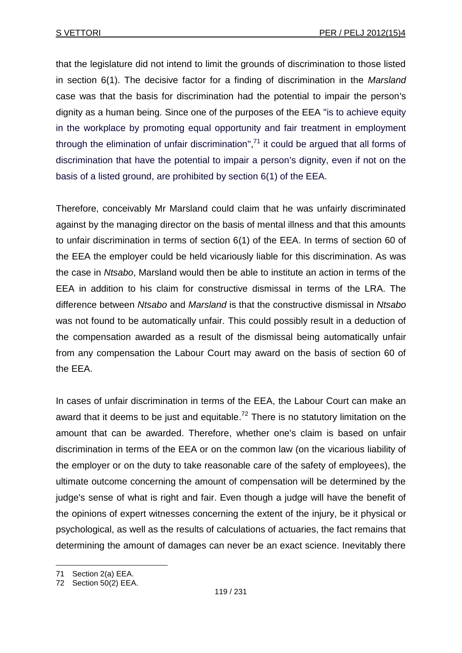that the legislature did not intend to limit the grounds of discrimination to those listed in section 6(1). The decisive factor for a finding of discrimination in the *Marsland* case was that the basis for discrimination had the potential to impair the person's dignity as a human being. Since one of the purposes of the EEA "is to achieve equity in the workplace by promoting equal opportunity and fair treatment in employment through the elimination of unfair discrimination", $71$  it could be argued that all forms of discrimination that have the potential to impair a person's dignity, even if not on the basis of a listed ground, are prohibited by section 6(1) of the EEA.

Therefore, conceivably Mr Marsland could claim that he was unfairly discriminated against by the managing director on the basis of mental illness and that this amounts to unfair discrimination in terms of section 6(1) of the EEA. In terms of section 60 of the EEA the employer could be held vicariously liable for this discrimination. As was the case in *Ntsabo*, Marsland would then be able to institute an action in terms of the EEA in addition to his claim for constructive dismissal in terms of the LRA. The difference between *Ntsabo* and *Marsland* is that the constructive dismissal in *Ntsabo* was not found to be automatically unfair. This could possibly result in a deduction of the compensation awarded as a result of the dismissal being automatically unfair from any compensation the Labour Court may award on the basis of section 60 of the EEA.

In cases of unfair discrimination in terms of the EEA, the Labour Court can make an award that it deems to be just and equitable.<sup>72</sup> There is no statutory limitation on the amount that can be awarded. Therefore, whether one's claim is based on unfair discrimination in terms of the EEA or on the common law (on the vicarious liability of the employer or on the duty to take reasonable care of the safety of employees), the ultimate outcome concerning the amount of compensation will be determined by the judge's sense of what is right and fair. Even though a judge will have the benefit of the opinions of expert witnesses concerning the extent of the injury, be it physical or psychological, as well as the results of calculations of actuaries, the fact remains that determining the amount of damages can never be an exact science. Inevitably there

<sup>-</sup>71 Section 2(a) EEA.

<sup>72</sup> Section 50(2) EEA.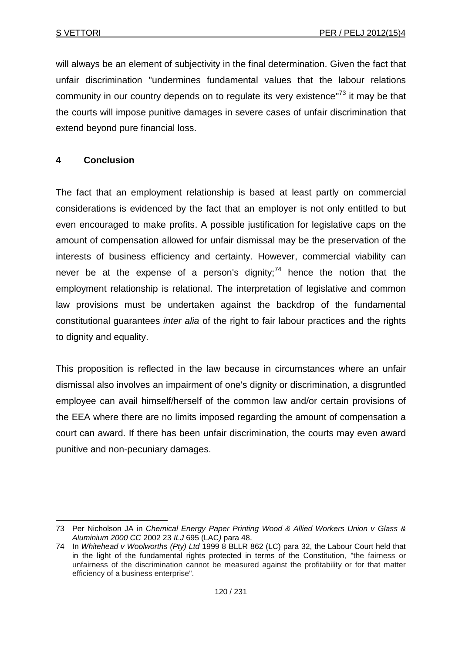will always be an element of subjectivity in the final determination. Given the fact that unfair discrimination "undermines fundamental values that the labour relations community in our country depends on to regulate its very existence"<sup>73</sup> it may be that the courts will impose punitive damages in severe cases of unfair discrimination that extend beyond pure financial loss.

## **4 Conclusion**

The fact that an employment relationship is based at least partly on commercial considerations is evidenced by the fact that an employer is not only entitled to but even encouraged to make profits. A possible justification for legislative caps on the amount of compensation allowed for unfair dismissal may be the preservation of the interests of business efficiency and certainty. However, commercial viability can never be at the expense of a person's dignity;<sup>74</sup> hence the notion that the employment relationship is relational. The interpretation of legislative and common law provisions must be undertaken against the backdrop of the fundamental constitutional guarantees *inter alia* of the right to fair labour practices and the rights to dignity and equality.

This proposition is reflected in the law because in circumstances where an unfair dismissal also involves an impairment of one's dignity or discrimination, a disgruntled employee can avail himself/herself of the common law and/or certain provisions of the EEA where there are no limits imposed regarding the amount of compensation a court can award. If there has been unfair discrimination, the courts may even award punitive and non-pecuniary damages.

<sup>-</sup>73 Per Nicholson JA in *Chemical Energy Paper Printing Wood & Allied Workers Union v Glass & Aluminium 2000 CC* 2002 23 *ILJ* 695 (LAC*)* para 48.

<sup>74</sup> In *Whitehead v Woolworths (Pty) Ltd* 1999 8 BLLR 862 (LC) para 32, the Labour Court held that in the light of the fundamental rights protected in terms of the Constitution, "the fairness or unfairness of the discrimination cannot be measured against the profitability or for that matter efficiency of a business enterprise".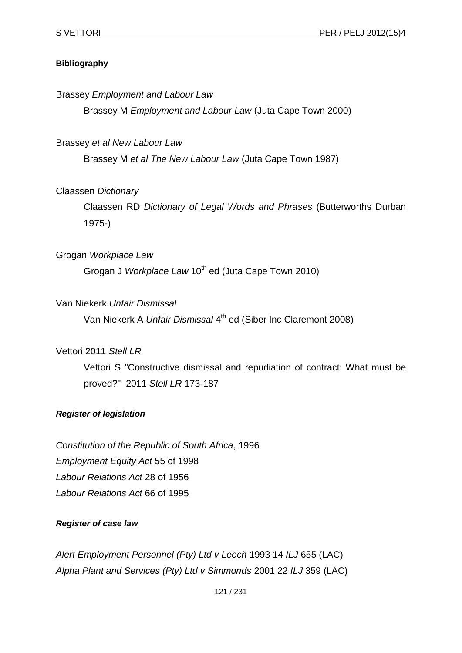#### **Bibliography**

#### Brassey *Employment and Labour Law*

Brassey M *Employment and Labour Law* (Juta Cape Town 2000)

## Brassey *et al New Labour Law*

Brassey M *et al The New Labour Law* (Juta Cape Town 1987)

# Claassen *Dictionary*

Claassen RD *Dictionary of Legal Words and Phrases* (Butterworths Durban 1975-)

## Grogan *Workplace Law*

Grogan J Workplace Law 10<sup>th</sup> ed (Juta Cape Town 2010)

## Van Niekerk *Unfair Dismissal*

Van Niekerk A *Unfair Dismissal* 4 th ed (Siber Inc Claremont 2008)

#### Vettori 2011 *Stell LR*

Vettori S "Constructive dismissal and repudiation of contract: What must be proved?" 2011 *Stell LR* 173-187

# *Register of legislation*

*Constitution of the Republic of South Africa*, 1996 *Employment Equity Act* 55 of 1998 *Labour Relations Act* 28 of 1956 *Labour Relations Act* 66 of 1995

#### *Register of case law*

*Alert Employment Personnel (Pty) Ltd v Leech* 1993 14 *ILJ* 655 (LAC) *Alpha Plant and Services (Pty) Ltd v Simmonds* 2001 22 *ILJ* 359 (LAC)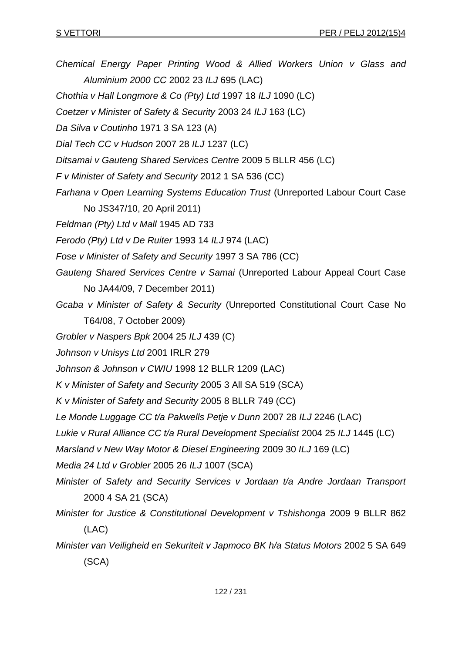- *Chemical Energy Paper Printing Wood & Allied Workers Union v Glass and Aluminium 2000 CC* 2002 23 *ILJ* 695 (LAC)
- *Chothia v Hall Longmore & Co (Pty) Ltd* 1997 18 *ILJ* 1090 (LC)
- *Coetzer v Minister of Safety & Security* 2003 24 *ILJ* 163 (LC)
- *Da Silva v Coutinho* 1971 3 SA 123 (A)
- *Dial Tech CC v Hudson* 2007 28 *ILJ* 1237 (LC)
- *Ditsamai v Gauteng Shared Services Centre* 2009 5 BLLR 456 (LC)
- *F v Minister of Safety and Security* 2012 1 SA 536 (CC)
- *Farhana v Open Learning Systems Education Trust* (Unreported Labour Court Case No JS347/10, 20 April 2011)
- *Feldman (Pty) Ltd v Mall* 1945 AD 733
- *Ferodo (Pty) Ltd v De Ruiter* 1993 14 *ILJ* 974 (LAC)
- *Fose v Minister of Safety and Security* 1997 3 SA 786 (CC)
- *Gauteng Shared Services Centre v Samai* (Unreported Labour Appeal Court Case No JA44/09, 7 December 2011)
- *Gcaba v Minister of Safety & Security* (Unreported Constitutional Court Case No T64/08, 7 October 2009)
- *Grobler v Naspers Bpk* 2004 25 *ILJ* 439 (C)
- *Johnson v Unisys Ltd* 2001 IRLR 279
- *Johnson & Johnson v CWIU* 1998 12 BLLR 1209 (LAC)
- *K v Minister of Safety and Security* 2005 3 All SA 519 (SCA)
- *K v Minister of Safety and Security* 2005 8 BLLR 749 (CC)
- *Le Monde Luggage CC t/a Pakwells Petje v Dunn* 2007 28 *ILJ* 2246 (LAC)
- *Lukie v Rural Alliance CC t/a Rural Development Specialist* 2004 25 *ILJ* 1445 (LC)

*Marsland v New Way Motor & Diesel Engineering* 2009 30 *ILJ* 169 (LC)

*Media 24 Ltd v Grobler* 2005 26 *ILJ* 1007 (SCA)

- *Minister of Safety and Security Services v Jordaan t/a Andre Jordaan Transport*  2000 4 SA 21 (SCA)
- *Minister for Justice & Constitutional Development v Tshishonga* 2009 9 BLLR 862 (LAC)
- *Minister van Veiligheid en Sekuriteit v Japmoco BK h/a Status Motors* 2002 5 SA 649 (SCA)